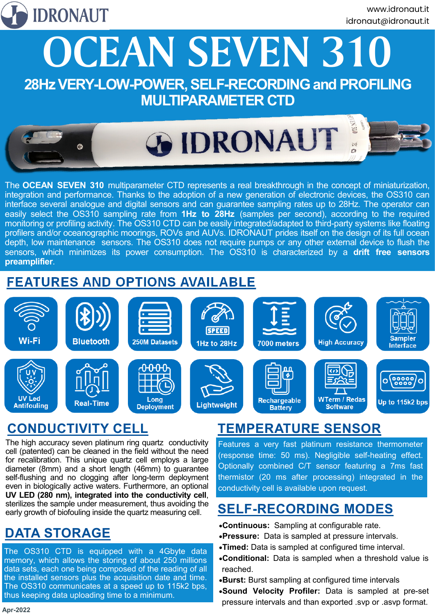

**OCEAN SEVEN 310 28Hz VERY-LOW-POWER, SELF-RECORDING and PROFILING** 

### **MULTIPARAMETER CTD**



The **OCEAN SEVEN 310** multiparameter CTD represents a real breakthrough in the concept of miniaturization, integration and performance. Thanks to the adoption of a new generation of electronic devices, the OS310 can interface several analogue and digital sensors and can guarantee sampling rates up to 28Hz. The operator can easily select the OS310 sampling rate from **1Hz to 28Hz** (samples per second), according to the required monitoring or profiling activity. The OS310 CTD can be easily integrated/adapted to third-party systems like floating profilers and/or oceanographic moorings, ROVs and AUVs. IDRONAUT prides itself on the design of its full ocean depth, low maintenance sensors. The OS310 does not require pumps or any other external device to flush the sensors, which minimizes its power consumption. The OS310 is characterized by a **drift free sensors preamplifier**.

#### **FEATURES AND OPTIONS AVAILABLE**



# $\frac{1}{2}$  **CONDUCTIVITY CELL**

**<u>Depending</u><br>The high accuracy seven platinum ring quartz conductivity E**eatu cell (patented) can be cleaned in the field without the need for recalibration. This unique quartz cell employs a large diameter (8mm) and a short length (46mm) to guarantee self-flushing and no clogging after long-term deployment even in biologically active waters. Furthermore, an optional **UV LED (280 nm), integrated into the conductivity cell**, sterilizes the sample under measurement, thus avoiding the early growth of biofouling inside the quartz measuring cell.

# **DATA STORAGE**

The OS310 CTD is equipped with a 4Gbyte data memory, which allows the storing of about 250 millions data sets, each one being composed of the reading of all the installed sensors plus the acquisition date and time. The OS310 communicates at a speed up to 115k2 bps, thus keeping data uploading time to a minimum.

### **TEMPERATURE SENSOR**

Features a very fast platinum resistance thermometer (response time: 50 ms). Negligible self-heating effect. Optionally combined C/T sensor featuring a 7ms fast thermistor (20 ms after processing) integrated in the conductivity cell is available upon request.

### **SELF-RECORDING MODES**

- •**Continuous:** Sampling at configurable rate.
- •**Pressure:** Data is sampled at pressure intervals.
- •**Timed:** Data is sampled at configured time interval.
- •**Conditional:** Data is sampled when a threshold value is reached.
- •**Burst:** Burst sampling at configured time intervals
- •**Sound Velocity Profiler:** Data is sampled at pre-set pressure intervals and than exported .svp or .asvp format.